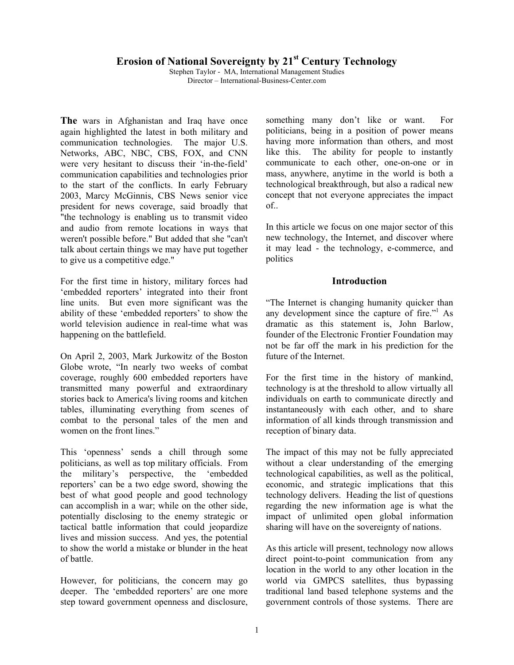# **Erosion of National Sovereignty by 21st Century Technology**

Stephen Taylor - MA, International Management Studies Director – International-Business-Center.com

**The** wars in Afghanistan and Iraq have once again highlighted the latest in both military and communication technologies. The major U.S. Networks, ABC, NBC, CBS, FOX, and CNN were very hesitant to discuss their 'in-the-field' communication capabilities and technologies prior to the start of the conflicts. In early February 2003, Marcy McGinnis, CBS News senior vice president for news coverage, said broadly that "the technology is enabling us to transmit video and audio from remote locations in ways that weren't possible before." But added that she "can't talk about certain things we may have put together to give us a competitive edge."

For the first time in history, military forces had 'embedded reporters' integrated into their front line units. But even more significant was the ability of these 'embedded reporters' to show the world television audience in real-time what was happening on the battlefield.

On April 2, 2003, Mark Jurkowitz of the Boston Globe wrote, "In nearly two weeks of combat coverage, roughly 600 embedded reporters have transmitted many powerful and extraordinary stories back to America's living rooms and kitchen tables, illuminating everything from scenes of combat to the personal tales of the men and women on the front lines."

This 'openness' sends a chill through some politicians, as well as top military officials. From the military's perspective, the 'embedded reporters' can be a two edge sword, showing the best of what good people and good technology can accomplish in a war; while on the other side, potentially disclosing to the enemy strategic or tactical battle information that could jeopardize lives and mission success. And yes, the potential to show the world a mistake or blunder in the heat of battle.

However, for politicians, the concern may go deeper. The 'embedded reporters' are one more step toward government openness and disclosure, something many don't like or want. For politicians, being in a position of power means having more information than others, and most like this. The ability for people to instantly communicate to each other, one-on-one or in mass, anywhere, anytime in the world is both a technological breakthrough, but also a radical new concept that not everyone appreciates the impact of..

In this article we focus on one major sector of this new technology, the Internet, and discover where it may lead - the technology, e-commerce, and politics

#### **Introduction**

"The Internet is changing humanity quicker than any development since the capture of fire.["1](#page-7-0) As dramatic as this statement is, John Barlow, founder of the Electronic Frontier Foundation may not be far off the mark in his prediction for the future of the Internet.

For the first time in the history of mankind, technology is at the threshold to allow virtually all individuals on earth to communicate directly and instantaneously with each other, and to share information of all kinds through transmission and reception of binary data.

The impact of this may not be fully appreciated without a clear understanding of the emerging technological capabilities, as well as the political, economic, and strategic implications that this technology delivers. Heading the list of questions regarding the new information age is what the impact of unlimited open global information sharing will have on the sovereignty of nations.

As this article will present, technology now allows direct point-to-point communication from any location in the world to any other location in the world via GMPCS satellites, thus bypassing traditional land based telephone systems and the government controls of those systems. There are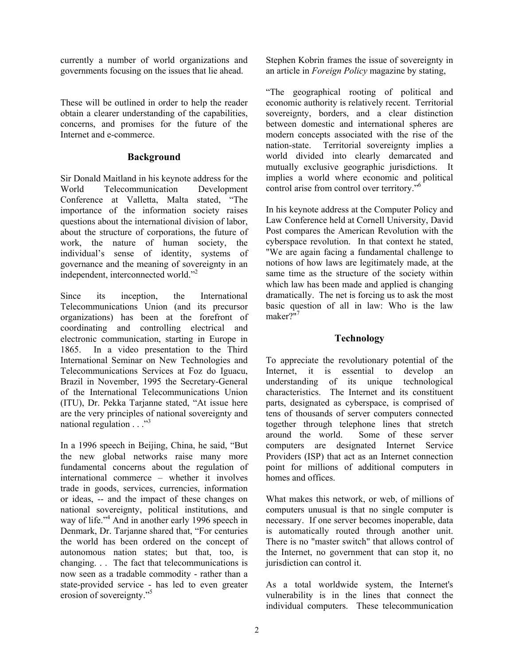currently a number of world organizations and governments focusing on the issues that lie ahead.

These will be outlined in order to help the reader obtain a clearer understanding of the capabilities, concerns, and promises for the future of the Internet and e-commerce.

## **Background**

Sir Donald Maitland in his keynote address for the World Telecommunication Development Conference at Valletta, Malta stated, "The importance of the information society raises questions about the international division of labor, about the structure of corporations, the future of work, the nature of human society, the individual's sense of identity, systems of governance and the meaning of sov[er](#page-7-1)eignty in an independent, interconnected world."2

Since its inception, the International Telecommunications Union (and its precursor organizations) has been at the forefront of coordinating and controlling electrical and electronic communication, starting in Europe in 1865. In a video presentation to the Third International Seminar on New Technologies and Telecommunications Services at Foz do Iguacu, Brazil in November, 1995 the Secretary-General of the International Telecommunications Union (ITU), Dr. Pekka Tarjanne stated, "At issue here are the very principles [of](#page-7-2) national sovereignty and national regulation . . ."<sup>3</sup>

In a 1996 speech in Beijing, China, he said, "But the new global networks raise many more fundamental concerns about the regulation of international commerce – whether it involves trade in goods, services, currencies, information or ideas, -- and the impact of these changes on national so[ve](#page-7-3)reignty, political institutions, and way of life."<sup>4</sup> And in another early 1996 speech in Denmark, Dr. Tarjanne shared that, "For centuries the world has been ordered on the concept of autonomous nation states; but that, too, is changing. . . The fact that telecommunications is now seen as a tradable commodity - rather than a state-provided service [-](#page-7-4) has led to even greater erosion of sovereignty."<sup>5</sup>

Stephen Kobrin frames the issue of sovereignty in an article in *Foreign Policy* magazine by stating,

"The geographical rooting of political and economic authority is relatively recent. Territorial sovereignty, borders, and a clear distinction between domestic and international spheres are modern concepts associated with the rise of the nation-state. Territorial sovereignty implies a world divided into clearly demarcated and mutually exclusive geographic jurisdictions. It implies a world where economic and political control arise from control over territory.["6](#page-7-5)

In his keynote address at the Computer Policy and Law Conference held at Cornell University, David Post compares the American Revolution with the cyberspace revolution. In that context he stated, "We are again facing a fundamental challenge to notions of how laws are legitimately made, at the same time as the structure of the society within which law has been made and applied is changing dramatically. The net is forcing us to ask the most basic question of all in law: Who is the law maker?"<sup>[7](#page-7-6)</sup>

# **Technology**

To appreciate the revolutionary potential of the Internet, it is essential to develop an understanding of its unique technological characteristics. The Internet and its constituent parts, designated as cyberspace, is comprised of tens of thousands of server computers connected together through telephone lines that stretch around the world. Some of these server computers are designated Internet Service Providers (ISP) that act as an Internet connection point for millions of additional computers in homes and offices.

What makes this network, or web, of millions of computers unusual is that no single computer is necessary. If one server becomes inoperable, data is automatically routed through another unit. There is no "master switch" that allows control of the Internet, no government that can stop it, no jurisdiction can control it.

As a total worldwide system, the Internet's vulnerability is in the lines that connect the individual computers. These telecommunication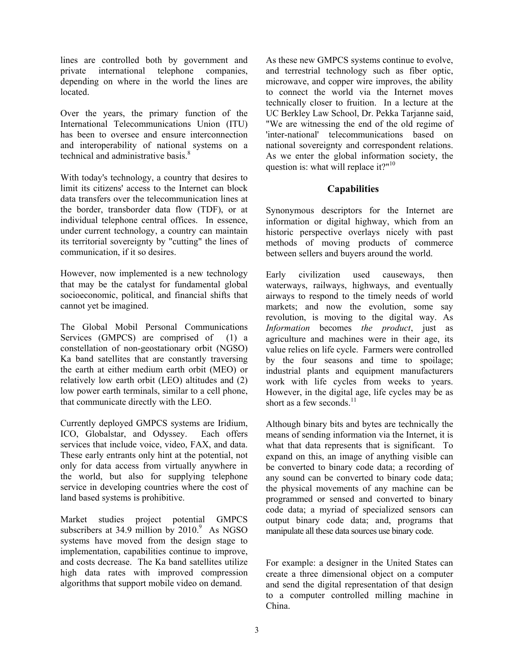lines are controlled both by government and private international telephone companies, depending on where in the world the lines are located.

Over the years, the primary function of the International Telecommunications Union (ITU) has been to oversee and ensure interconnection and interoperability of national systems on a technical and administrative basis.<sup>[8](#page-7-7)</sup>

With today's technology, a country that desires to limit its citizens' access to the Internet can block data transfers over the telecommunication lines at the border, transborder data flow (TDF), or at individual telephone central offices. In essence, under current technology, a country can maintain its territorial sovereignty by "cutting" the lines of communication, if it so desires.

However, now implemented is a new technology that may be the catalyst for fundamental global socioeconomic, political, and financial shifts that cannot yet be imagined.

The Global Mobil Personal Communications Services (GMPCS) are comprised of (1) a constellation of non-geostationary orbit (NGSO) Ka band satellites that are constantly traversing the earth at either medium earth orbit (MEO) or relatively low earth orbit (LEO) altitudes and (2) low power earth terminals, similar to a cell phone, that communicate directly with the LEO.

Currently deployed GMPCS systems are Iridium, ICO, Globalstar, and Odyssey. Each offers services that include voice, video, FAX, and data. These early entrants only hint at the potential, not only for data access from virtually anywhere in the world, but also for supplying telephone service in developing countries where the cost of land based systems is prohibitive.

Market studies project potential GMPCS subscribers at 34[.9](#page-7-8) million by  $2010$ .<sup>9</sup> As NGSO systems have moved from the design stage to implementation, capabilities continue to improve, and costs decrease. The Ka band satellites utilize high data rates with improved compression algorithms that support mobile video on demand.

As these new GMPCS systems continue to evolve, and terrestrial technology such as fiber optic, microwave, and copper wire improves, the ability to connect the world via the Internet moves technically closer to fruition. In a lecture at the UC Berkley Law School, Dr. Pekka Tarjanne said, "We are witnessing the end of the old regime of 'inter-national' telecommunications based on national sovereignty and correspondent relations. As we enter the global information society, the question is: what will replace it?" $10$ 

# **Capabilities**

Synonymous descriptors for the Internet are information or digital highway, which from an historic perspective overlays nicely with past methods of moving products of commerce between sellers and buyers around the world.

Early civilization used causeways, then waterways, railways, highways, and eventually airways to respond to the timely needs of world markets; and now the evolution, some say revolution, is moving to the digital way. As *Information* becomes *the product*, just as agriculture and machines were in their age, its value relies on life cycle. Farmers were controlled by the four seasons and time to spoilage; industrial plants and equipment manufacturers work with life cycles from weeks to years. However, in the digital age, life cycles may be as short as a few seconds. $^{11}$  $^{11}$  $^{11}$ 

Although binary bits and bytes are technically the means of sending information via the Internet, it is what that data represents that is significant. To expand on this, an image of anything visible can be converted to binary code data; a recording of any sound can be converted to binary code data; the physical movements of any machine can be programmed or sensed and converted to binary code data; a myriad of specialized sensors can output binary code data; and, programs that manipulate all these data sources use binary code.

For example: a designer in the United States can create a three dimensional object on a computer and send the digital representation of that design to a computer controlled milling machine in China.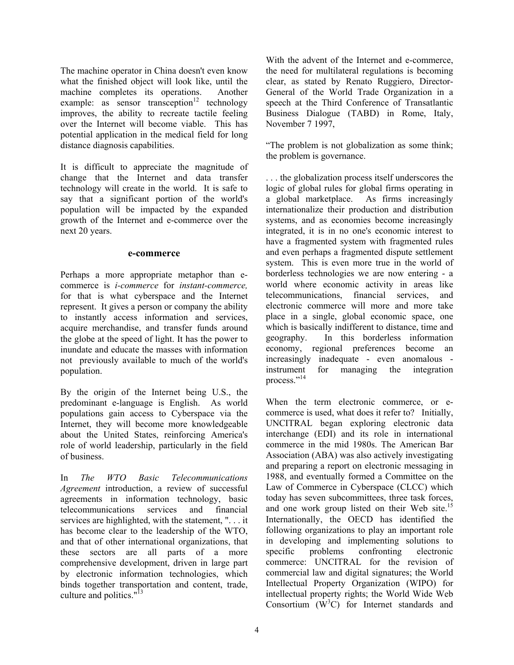The machine operator in China doesn't even know what the finished object will look like, until the machine completes its operatio[ns.](#page-7-11) Another example: as sensor transception<sup>12</sup> technology improves, the ability to recreate tactile feeling over the Internet will become viable. This has potential application in the medical field for long distance diagnosis capabilities.

It is difficult to appreciate the magnitude of change that the Internet and data transfer technology will create in the world. It is safe to say that a significant portion of the world's population will be impacted by the expanded growth of the Internet and e-commerce over the next 20 years.

#### **e-commerce**

Perhaps a more appropriate metaphor than ecommerce is *i-commerce* for *instant-commerce,* for that is what cyberspace and the Internet represent. It gives a person or company the ability to instantly access information and services, acquire merchandise, and transfer funds around the globe at the speed of light. It has the power to inundate and educate the masses with information not previously available to much of the world's population.

By the origin of the Internet being U.S., the predominant e-language is English. As world populations gain access to Cyberspace via the Internet, they will become more knowledgeable about the United States, reinforcing America's role of world leadership, particularly in the field of business.

In *The WTO Basic Telecommunications Agreement* introduction, a review of successful agreements in information technology, basic telecommunications services and financial services are highlighted, with the statement, ". . . it has become clear to the leadership of the WTO, and that of other international organizations, that these sectors are all parts of a more comprehensive development, driven in large part by electronic information technologies, which binds together trans[po](#page-7-12)rtation and content, trade, culture and politics."<sup>13</sup>

With the advent of the Internet and e-commerce, the need for multilateral regulations is becoming clear, as stated by Renato Ruggiero, Director-General of the World Trade Organization in a speech at the Third Conference of Transatlantic Business Dialogue (TABD) in Rome, Italy, November 7 1997,

"The problem is not globalization as some think; the problem is governance.

. . . the globalization process itself underscores the logic of global rules for global firms operating in a global marketplace. As firms increasingly internationalize their production and distribution systems, and as economies become increasingly integrated, it is in no one's economic interest to have a fragmented system with fragmented rules and even perhaps a fragmented dispute settlement system. This is even more true in the world of borderless technologies we are now entering - a world where economic activity in areas like telecommunications, financial services, and electronic commerce will more and more take place in a single, global economic space, one which is basically indifferent to distance, time and geography. In this borderless information economy, regional preferences become an increasingly inadequate - even anomalous instrument for managing the integration process.["14](#page-7-13)

When the term electronic commerce, or ecommerce is used, what does it refer to? Initially, UNCITRAL began exploring electronic data interchange (EDI) and its role in international commerce in the mid 1980s. The American Bar Association (ABA) was also actively investigating and preparing a report on electronic messaging in 1988, and eventually formed a Committee on the Law of Commerce in Cyberspace (CLCC) which today has seven subcommittees, three task forces, and one work group listed on their Web site.<sup>[15](#page-7-14)</sup> Internationally, the OECD has identified the following organizations to play an important role in developing and implementing solutions to specific problems confronting electronic commerce: UNCITRAL for the revision of commercial law and digital signatures; the World Intellectual Property Organization (WIPO) for intellectual property rights; the World Wide Web Consortium  $(W<sup>3</sup>C)$  for Internet standards and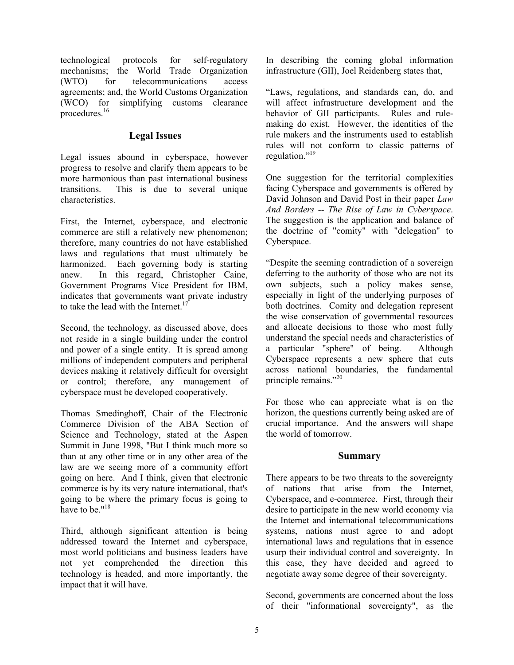technological protocols for self-regulatory mechanisms; the World Trade Organization (WTO) for telecommunications access agreements; and, the World Customs Organization (WCO) for simplifying customs clearance procedures.<sup>16</sup>

## **Legal Issues**

Legal issues abound in cyberspace, however progress to resolve and clarify them appears to be more harmonious than past international business transitions. This is due to several unique characteristics.

First, the Internet, cyberspace, and electronic commerce are still a relatively new phenomenon; therefore, many countries do not have established laws and regulations that must ultimately be harmonized. Each governing body is starting anew. In this regard, Christopher Caine, Government Programs Vice President for IBM, indicates that governments want private industry to take the lead with the Internet.<sup>17</sup>

Second, the technology, as discussed above, does not reside in a single building under the control and power of a single entity. It is spread among millions of independent computers and peripheral devices making it relatively difficult for oversight or control; therefore, any management of cyberspace must be developed cooperatively.

Thomas Smedinghoff, Chair of the Electronic Commerce Division of the ABA Section of Science and Technology, stated at the Aspen Summit in June 1998, "But I think much more so than at any other time or in any other area of the law are we seeing more of a community effort going on here. And I think, given that electronic commerce is by its very nature international, that's going to be where the primary focus is going to have to be."<sup>18</sup>

Third, although significant attention is being addressed toward the Internet and cyberspace, most world politicians and business leaders have not yet comprehended the direction this technology is headed, and more importantly, the impact that it will have.

In describing the coming global information infrastructure (GII), Joel Reidenberg states that,

"Laws, regulations, and standards can, do, and will affect infrastructure development and the behavior of GII participants. Rules and rulemaking do exist. However, the identities of the rule makers and the instruments used to establish rules will not conform to classic patterns of regulation."<sup>19</sup>

One suggestion for the territorial complexities facing Cyberspace and governments is offered by David Johnson and David Post in their paper *Law And Borders -- The Rise of Law in Cyberspace*. The suggestion is the application and balance of the doctrine of "comity" with "delegation" to Cyberspace.

"Despite the seeming contradiction of a sovereign deferring to the authority of those who are not its own subjects, such a policy makes sense, especially in light of the underlying purposes of both doctrines. Comity and delegation represent the wise conservation of governmental resources and allocate decisions to those who most fully understand the special needs and characteristics of a particular "sphere" of being. Although Cyberspace represents a new sphere that cuts across national boundaries, the fundamental principle remains."[20](#page-7-19) 

For those who can appreciate what is on the horizon, the questions currently being asked are of crucial importance. And the answers will shape the world of tomorrow.

#### **Summary**

There appears to be two threats to the sovereignty of nations that arise from the Internet, Cyberspace, and e-commerce. First, through their desire to participate in the new world economy via the Internet and international telecommunications systems, nations must agree to and adopt international laws and regulations that in essence usurp their individual control and sovereignty. In this case, they have decided and agreed to negotiate away some degree of their sovereignty.

Second, governments are concerned about the loss of their "informational sovereignty", as the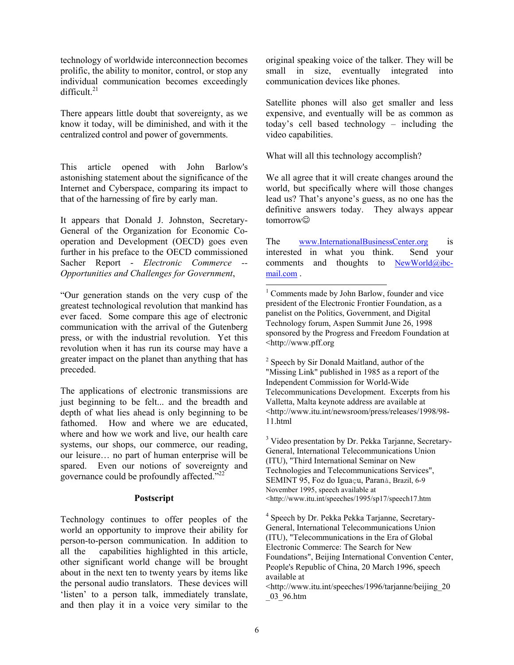technology of worldwide interconnection becomes prolific, the ability to monitor, control, or stop any individual communication becomes exceedingly difficult $^{21}$ 

There appears little doubt that sovereignty, as we know it today, will be diminished, and with it the centralized control and power of governments.

This article opened with John Barlow's astonishing statement about the significance of the Internet and Cyberspace, comparing its impact to that of the harnessing of fire by early man.

It appears that Donald J. Johnston, Secretary-General of the Organization for Economic Cooperation and Development (OECD) goes even further in his preface to the OECD commissioned Sacher Report - *Electronic Commerce -- Opportunities and Challenges for Government*,

"Our generation stands on the very cusp of the greatest technological revolution that mankind has ever faced. Some compare this age of electronic communication with the arrival of the Gutenberg press, or with the industrial revolution. Yet this revolution when it has run its course may have a greater impact on the planet than anything that has preceded.

The applications of electronic transmissions are just beginning to be felt... and the breadth and depth of what lies ahead is only beginning to be fathomed. How and where we are educated, where and how we work and live, our health care systems, our shops, our commerce, our reading, our leisure… no part of human enterprise will be spared. Even our notions of sovereig[nty](#page-7-21) and governance could be profoundly affected."22

#### **Postscript**

Technology continues to offer peoples of the world an opportunity to improve their ability for person-to-person communication. In addition to all the capabilities highlighted in this article, other significant world change will be brought about in the next ten to twenty years by items like the personal audio translators. These devices will 'listen' to a person talk, immediately translate, and then play it in a voice very similar to the original speaking voice of the talker. They will be small in size, eventually integrated into communication devices like phones.

Satellite phones will also get smaller and less expensive, and eventually will be as common as today's cell based technology – including the video capabilities.

What will all this technology accomplish?

We all agree that it will create changes around the world, but specifically where will those changes lead us? That's anyone's guess, as no one has the definitive answers today. They always appear tomorrow☺

The www.InternationalBusinessCenter.org is interested in what you think. [Send your](mailto:NewWorld@ibc-mail.com) [comment](mailto:NewWorld@ibc-mail.com)s and thoughts to  $NewWorld@ibo$ mail.com .

<sup>1</sup> Comments made by John Barlow, founder and vice president of the Electronic Frontier Foundation, as a panelist on the Politics, Government, and Digital Technology forum, Aspen Summit June 26, 1998 sponsored by the Progress and Freedom Foundation at <http://www.pff.org

<sup>2</sup> Speech by Sir Donald Maitland, author of the "Missing Link" published in 1985 as a report of the Independent Commission for World-Wide Telecommunications Development. Excerpts from his Valletta, Malta keynote address are available at <http://www.itu.int/newsroom/press/releases/1998/98- 11.html

<sup>3</sup> Video presentation by Dr. Pekka Tarjanne, Secretary-General, International Telecommunications Union (ITU), "Third International Seminar on New Technologies and Telecommunications Services", SEMINT 95, Foz do Iguaçu, Paranà, Brazil, 6-9 November 1995, speech available at <http://www.itu.int/speeches/1995/sp17/speech17.htm

4 Speech by Dr. Pekka Pekka Tarjanne, Secretary-General, International Telecommunications Union (ITU), "Telecommunications in the Era of Global Electronic Commerce: The Search for New Foundations", Beijing International Convention Center, People's Republic of China, 20 March 1996, speech available at

l

<sup>&</sup>lt;http://www.itu.int/speeches/1996/tarjanne/beijing\_20 \_03\_96.htm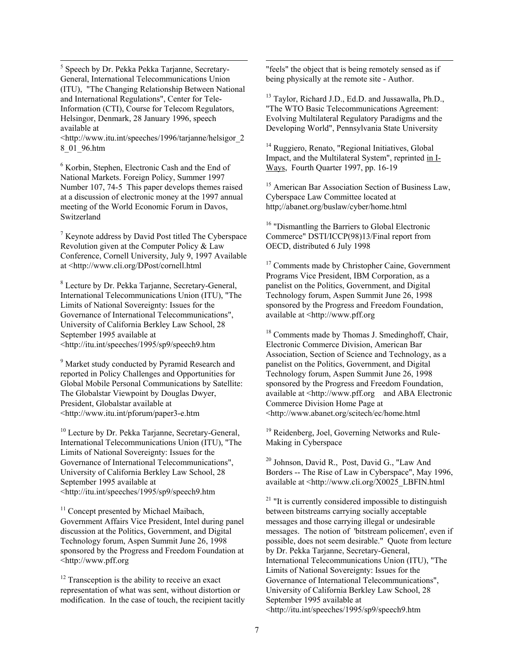5 Speech by Dr. Pekka Pekka Tarjanne, Secretary-General, International Telecommunications Union (ITU), "The Changing Relationship Between National and International Regulations", Center for Tele-Information (CTI), Course for Telecom Regulators, HelsingØr, Denmark, 28 January 1996, speech available at

-

<http://www.itu.int/speeches/1996/tarjanne/helsigor\_2 8\_01\_96.htm

6 Korbin, Stephen, Electronic Cash and the End of National Markets. Foreign Policy, Summer 1997 Number 107, 74-5 This paper develops themes raised at a discussion of electronic money at the 1997 annual meeting of the World Economic Forum in Davos, Switzerland

 $7$  Keynote address by David Post titled The Cyberspace Revolution given at the Computer Policy & Law Conference, Cornell University, July 9, 1997 Available at <http://www.cli.org/DPost/cornell.html

8 Lecture by Dr. Pekka Tarjanne, Secretary-General, International Telecommunications Union (ITU), "The Limits of National Sovereignty: Issues for the Governance of International Telecommunications", University of California Berkley Law School, 28 September 1995 available at <http://itu.int/speeches/1995/sp9/speech9.htm

<sup>9</sup> Market study conducted by Pyramid Research and reported in Policy Challenges and Opportunities for Global Mobile Personal Communications by Satellite: The Globalstar Viewpoint by Douglas Dwyer, President, Globalstar available at <http://www.itu.int/pforum/paper3-e.htm

<sup>10</sup> Lecture by Dr. Pekka Tarjanne, Secretary-General, International Telecommunications Union (ITU), "The Limits of National Sovereignty: Issues for the Governance of International Telecommunications", University of California Berkley Law School, 28 September 1995 available at <http://itu.int/speeches/1995/sp9/speech9.htm

<sup>11</sup> Concept presented by Michael Maibach, Government Affairs Vice President, Intel during panel discussion at the Politics, Government, and Digital Technology forum, Aspen Summit June 26, 1998 sponsored by the Progress and Freedom Foundation at <http://www.pff.org

 $12$  Transception is the ability to receive an exact representation of what was sent, without distortion or modification. In the case of touch, the recipient tacitly

"feels" the object that is being remotely sensed as if being physically at the remote site - Author.

l

<sup>13</sup> Taylor, Richard J.D., Ed.D. and Jussawalla, Ph.D., "The WTO Basic Telecommunications Agreement: Evolving Multilateral Regulatory Paradigms and the Developing World", Pennsylvania State University

<sup>14</sup> Ruggiero, Renato, "Regional Initiatives, Global Impact, and the Multilateral System", reprinted in I-Ways, Fourth Quarter 1997, pp. 16-19

<sup>15</sup> American Bar Association Section of Business Law, Cyberspace Law Committee located at http;//abanet.org/buslaw/cyber/home.html

<sup>16</sup> "Dismantling the Barriers to Global Electronic Commerce" DSTI/ICCP(98)13/Final report from OECD, distributed 6 July 1998

<sup>17</sup> Comments made by Christopher Caine, Government Programs Vice President, IBM Corporation, as a panelist on the Politics, Government, and Digital Technology forum, Aspen Summit June 26, 1998 sponsored by the Progress and Freedom Foundation, available at <http://www.pff.org

<sup>18</sup> Comments made by Thomas J. Smedinghoff, Chair, Electronic Commerce Division, American Bar Association, Section of Science and Technology, as a panelist on the Politics, Government, and Digital Technology forum, Aspen Summit June 26, 1998 sponsored by the Progress and Freedom Foundation, available at <http://www.pff.org and ABA Electronic Commerce Division Home Page at <http://www.abanet.org/scitech/ec/home.html

<sup>19</sup> Reidenberg, Joel, Governing Networks and Rule-Making in Cyberspace

20 Johnson, David R., Post, David G., "Law And Borders -- The Rise of Law in Cyberspace", May 1996, available at <http://www.cli.org/X0025\_LBFIN.html

 $21$  "It is currently considered impossible to distinguish between bitstreams carrying socially acceptable messages and those carrying illegal or undesirable messages. The notion of 'bitstream policemen', even if possible, does not seem desirable." Quote from lecture by Dr. Pekka Tarjanne, Secretary-General, International Telecommunications Union (ITU), "The Limits of National Sovereignty: Issues for the Governance of International Telecommunications", University of California Berkley Law School, 28 September 1995 available at <http://itu.int/speeches/1995/sp9/speech9.htm